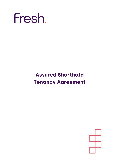

# **Assured Shorthold Tenancy Agreement**

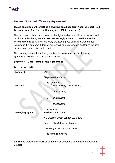### **Assured Shorthold Tenancy Agreement**

#### **This is an agreement for letting a dwelling on a fixed term Assured Short-Hold Tenancy under Part 1 of the Housing Act 1988 (as amended).**

This document is important. It sets out the rights and responsibilities of tenants and landlords under the agreement. **You are strongly advised to read it carefully before agreeing to it.** If there are any previous agreed conditions that are not included in this agreement, this agreement will take precedence and forms the final binding agreement between the parties.

This is an agreement for a three year fixed term assured shorthold tenancy agreement between the Landlord and Tenant.

#### **Section A. Main Terms of the Agreement**

#### **1. THE PARTIES**

| Landlord              | (Name)                            |
|-----------------------|-----------------------------------|
|                       | (Registered Address)              |
|                       | "The Landlord"                    |
| Tenant(s)             | 1. (Tenant Name) (Lead Tenant)    |
|                       | 2.<br>(Tenant Name)               |
|                       | 3.<br>(Tenant Name)               |
|                       | 4. (Tenant Name)                  |
|                       | "The Tenant"                      |
| <b>Managing Agent</b> | <b>Fresh Property Group</b>       |
|                       | 7-9 Swallow Street London W1B 4DE |
|                       | Email: renting@thisisfresh.com    |
|                       | Operating under the Brand: Fresh  |
|                       | " The Managing Agent"             |

1.1 The obligations and liabilities of the parties under this agreement are Joint and Several.

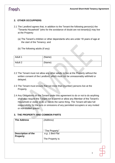#### **2. OTHER OCCUPPIERS**

- 2.1 The Landlord agrees that, in addition to the Tenant the following person(s) the "Tenants Household" (who for the avoidance of doubt are not tenant(s)) may live at the Property:
	- (a) The Tenant's children or other dependants who are under 18 years of age at the start of the Tenancy; and
	- (b) The following adults (if any):

| Adult 1 | (Name) |  |  |
|---------|--------|--|--|
| Adult 2 | (Name) |  |  |

- 2.2 The Tenant must not allow any other adults to live at the Property without the written consent of the Landlord, which must not be unreasonably withheld or delayed.
- 2.3 The Tenant must ensure that not more than (number) persons live at the Property.
- 2.4 Any Obligations on the Tenant under this agreement to do or not to do anything shall also require the Tenant not to permit or allow any Member of the Tenant's Household or visitor to do or not do the same thing. The Tenant will take full responsibility for the acts or omissions of any permitted occupiers or any invited or non-invited guests.

#### **3. THE PROPERTY AND COMMON PARTS**

| <b>The Address</b> | (Address)        |
|--------------------|------------------|
|                    |                  |
|                    |                  |
|                    | "The Property"   |
| Description of the | e.g. 1 Bed Flat  |
| <b>Property</b>    |                  |
|                    | The Property is: |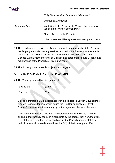#### **Assured Short-Hold Tenancy Agreement**

### Fresh.

|                     | (Fully Furnished/Part Furnished/Unfurnished)<br>Includes parking space                        |
|---------------------|-----------------------------------------------------------------------------------------------|
| <b>Common Parts</b> | In addition to the Property, the Tenant shall also have<br>use of the following Common Parts: |
|                     | Shared Access to the Property [                                                               |
|                     | Other Shared Facilities eg Residents Lounge and Gym                                           |

- 3.1 The Landlord must provide the Tenant with such information about the Property, the Property's installations any services provided to the Property as reasonably necessary to enable the Tenant to comply with the obligations contained in Clauses B2 (payment of council tax, utilities and other charges) and B4 (care and maintenance of the Property) of this agreement.
- 3.2 The Property is not currently subject to a mortgage.

#### **4. THE TERM AND EXPIRY OF THE FIXED TERM**

4.1 The Tenancy created by this agreement:

| Begins on: | 'Date) |
|------------|--------|
| Ends on:   | Date)  |

Unless terminated early in accordance with the clauses in Section D (Landlord's grounds (reasons) for possession during the fixed term), Section E (Break Clauses) or unless terminated early by mutual agreement between the parties.

4.2 If the Tenant continues to live in the Property after the expiry of the fixed term and no further tenancy has been entered into by the parties, then from the expiry date of the fixed term the Tenant shall occupy the Property under a statutory periodic tenancy in accordance with section 5(2) of the Housing Act 1988.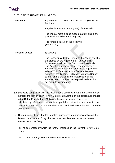#### **5. THE RENT AND OTHER CHARGES**

| <b>The Rent</b>        | £ (Amount)<br>Per Month for the first year of the<br>fixed term.<br>Payable in advance on the (date) of the Month<br>The first payment is to be made on (date) and further<br>payments are to be made on (date)<br>The rent is inclusive of the following:<br>(Broadband)                                                                                                                                                                                                                                                    |
|------------------------|------------------------------------------------------------------------------------------------------------------------------------------------------------------------------------------------------------------------------------------------------------------------------------------------------------------------------------------------------------------------------------------------------------------------------------------------------------------------------------------------------------------------------|
| <b>Tenancy Deposit</b> | E(Amount)<br>The Deposit paid by the Tenant to the Agent, shall be<br>transferred by the Agent to the TDS Custodial<br>Scheme who will hold the Deposit as Stakeholder.<br>The Agent is a Member of the Tenancy Deposit<br>Scheme. At the end of the Tenancy the Agent, shall<br>advise TDS of the deductions from the Deposit<br>agreed by the Tenant. TDS shall return the Deposit<br>to the Tenant, the Landlord if applicable, or the<br>Relevant Person subject to the possible deductions<br>set out in this Agreement |

- 5.1 Subject to compliance with the requirements specified in A5.2 the Landlord may increase the rent on each Review Date by a maximum of the percentage change in the **Retail Price Index + ½ %** over the preceding year. This must be calculated by reference to the last index published before the date on which the Landlord serves the notice under clause A5.2 and the index published 12 months prior to that.
- 5.2 The requirements are that the Landlord must serve a rent review notice on the Tenant not less than 28 days but not more than 90 days before the relevant Review Date specifying:
	- (a) The percentage by which the rent will increase on the relevant Review Date; and
	- (b) The new rent payable from the relevant Review Date.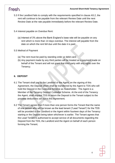- 5.3 If the Landlord fails to comply with the requirements specified in clause A5.2, the rent will continue to be payable from the relevant Review Date until the next Review Date at the rate payable immediately before the relevant Review Date.
- 5.4 Interest payable on Overdue Rent:
	- (a) Interest of 3% above the Bank England's base rate will be payable on any rent which is more than 14 days overdue. The interest will payable from the date on which the rent fell due until the date it is paid.

#### 5.5 Method of Payment

- (a) The rent must be paid by standing order or debit card.
- (b) Any payment made by any third parties will be treated as a payment made on behalf of the Tenant and will not grant that third party with any rights over the Tenancy.

#### **6. DEPOSIT**

- 6.1 The Tenant shall pay to the Landlord or the Agent, on the signing of this Agreement, the Deposit which shall be transferred by the Agent to TDS who will hold the Deposit in the Custodial Scheme as Stakeholder. The Agent is a Member of the Tenancy Deposit Custodial Scheme. At the end of the Tenancy the Agent, shall request TDS to return the Deposit to the Tenant subject to the possible deductions set out in this Agreement;
- 6.2 The Tenant agrees that if more than one person forms the Tenant that the name of one person who will be known as the lead tenant ("Lead Tenant") for the TDS will be provided to the Landlord or the Agent within fourteen days of the Tenancy starting or the Deposit being taken whichever is earlier. The Tenant agrees that the Lead Tenant is authorised to accept service of all documents regarding the Deposit from the TDS, the Landlord and the Agent on behalf of each person forming the Tenant;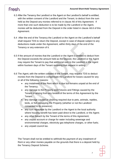- 6.3 After the Tenancy the Landlord or the Agent on the Landlord's behalf is entitled, with the written consent of the Landlord and the Tenant, to deduct from the sum held as the Deposit any monies referred to in clause A6 of this Agreement. If more than one such deduction is to be made by the Landlord or the Agent, monies will be deducted from the Deposit in the order listed in clause A6.6 of this Agreement.
- 6.4 After the end of the Tenancy the Landlord or the Agent on the Landlord's behalf shall request TDS to return the Deposit, except in case of dispute subject to any deductions made under the Agreement, within thirty days of the end of the Tenancy or any extension of it.
- 6.5 If the amount of monies that the Landlord or the Agent is entitled to deduct from the Deposit exceeds the amount held as the Deposit, the Landlord or the Agent may require the Tenant to pay that additional sum to the Landlord or the Agent within fourteen days of the Tenant receiving that request in writing.
- 6.6 The Agent, with the written consent of the Tenant, may request TDS to deduct monies from the Deposit to compensate the Landlord for losses caused for any or all of the following reasons:
	- any instalment of the Rent which is due but remains unpaid at the end of the Tenancy;
	- any damage to the Property and Fixtures and Fittings caused by the Tenant or arising from any breach of the terms of this Agreement by the Tenant;
	- any damage caused or cleaning required due to pets, animals, reptiles, birds, or fish occupying the Property (whether or not the Landlord consented to its presence);
	- any sum repayable by the Landlord or the Agent to the local authority where housing benefit has been paid direct to the Landlord, or the Agent;
	- any other breach by the Tenant of the terms of this Agreement;
	- any unpaid account or charge for water including sewerage and environmental charges, electricity gas telephone charges, or other fuels;
	- any unpaid council tax.

The Tenant shall not be entitled to withhold the payment of any instalment of Rent or any other monies payable on the grounds that there is a deposit held by the Tenancy Deposit Scheme.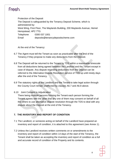#### **Assured Short-Hold Tenancy Agreement**

### Fresh.

Protection of the Deposit The Deposit is safeguarded by the Tenancy Deposit Scheme, which is administered by: West Wing, First Floor, The Maylands Building, 200 Maylands Avenue, Hemel Hempstead, HP2 7TG Telephone 0300 037 1001 Email deposits@tenancydepositscheme.com

At the end of the Tenancy:

- 6.7 The Agent must tell the Tenant as soon as practicable after the end of the Tenancy if they propose to make any deductions from the Deposit.
- 6.8 The Deposit will be returned to the Tenant by TDS within a reasonable timescale from all deductions being agreed between the Landlord and the Tenant except in case of dispute. Any dispute regarding deductions from the Deposit can be referred to the Alternative Dispute Resolution service of TDS up until ninety days after the end of the Tenancy.
- 6.9 The statutory rights of the Landlord and the Tenant to take legal action through the County Court remain unaffected by clauses A6.7 and A6.8 above.

#### 6.10 Joint Consent to Adjudication

There being multiple persons forming the Tenant each person forming the Tenant agrees with the other that any one of them may consent on behalf of all the others to use alternative dispute resolution through the TDS to deal with any dispute about the Deposit at the end of the Tenancy.

#### **7. THE INVENTORY AND REPORT OF CONDITION**

- 7.1 The Landlord, or someone acting on behalf of the Landlord have prepared an inventory and report of condition, it is attached to this agreement (see Annex 1).
- 7.2 Unless the Landlord receives written comments on or amendments to the inventory and report of condition within 14 days of the start of the Tenancy, the Tenant shall be taken as accepting the inventory and report of condition as a full and accurate record of condition of the Property and its contents.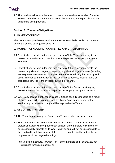7.3 The Landlord will ensure that any comments or amendments received from the Tenant under clause A 7.2 are attached to the inventory and report of condition annexed to this agreement.

#### **Section B. Tenant's Obligations**

#### **1. PAYMENT OF RENT**

The Tenant must pay the rent in advance whether formally demanded or not, on or before the agreed dates (see clause A5)

#### **2. PAYMENT OF COUNCIL TAX, UTILITIES AND OTHER CHARGES**

- 2.1 Except where included in the rent (see clause A5) the Tenant must pay to the relevant local authority all council tax due in respect of the Property during the Tenancy.
- 2.2 Except where included in the rent (see clause A5) the Tenant must pay to the relevant suppliers all charges in respect of any electricity, gas, or water (including sewerage) services used at or supplied to the Property during the Tenancy and pay all charges to the provider for the use of any telephone, satellite, cable or broadband services to the Property during the Tenancy.
- 2.3 Except where included in the rent (see clause A5), the Tenant must pay any television license fee payable in respect of the Property during the Tenancy.
- 2.4 Where any service mentioned in clause B2.2 has been disconnected as a result of the Tenant's failure to comply with the Tenant's obligation to pay for the service, any reconnection charge will be payable by the Tenant.

#### **3. USE OF THE PROPERTY**

- 3.1 The Tenant must occupy the Property as Tenant's only or principal home.
- 3.2 The Tenant must not use the Property for the purpose of a business, trade or profession except with the prior written consent of the Landlord which must not be unreasonably withheld or delayed. In particular, it will not be unreasonable for the Landlord to withhold consent if there is a reasonable likelihood that the use proposed would amongst other things:
	- (a) give rise to a tenancy to which Part II of the Landlord and Tenant Act 1954 (business tenancies) applies; or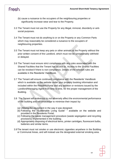- (b) cause a nuisance to the occupiers of the neighbouring properties or significantly increase wear and tear to the Property.
- 3.3 The Tenant must not use the Property for any illegal, immoral, disorderly or antisocial purposes.
- 3.4 The Tenant must not do anything to or on the Property or any Common Parts which may reasonably be considered a nuisance to the occupiers of neighbouring properties.
- 3.5 The Tenant must not keep any pets or other animals at the Property without the prior written consent of the Landlord, which must not be unreasonably withheld or delayed.
- 3.6 The Tenant must ensure strict compliance with any rules associated with the Shared Facilities that the Tenant has access to. Access to the Shared Facilities can be revoked if there is non-compliance. Details of the relevant rules are available in the Residents' Handbook.
- 3.7 The Tenant will ensure continued compliance with the Residents' Handbook which is available on the website under your property booking information and included within the Resident Portal and any addition or revisions issued by the Landlord/Managing Agent from time to time, for the proper management of the Building.
- 3.8 The Tenant will endeavour to not adversely affect the environmental performance of the building and will endeavour to minimise their impact by:
	- (a) Utilising the equipment in the way it was designed;
	- (b) Following the "Sustainable Living Guide" " available on the website and provided in the Residents Portal;
	- (c) Following the waste management procedure (waste segregation and recycling provisions) implemented in the building;
	- (d) Appropriately disposing of electrical items, printer cartridges, fluorescent bulbs, batteries and similar items.
- 3.9The tenant must not smoke or use electronic cigarettes anywhere in the Building or Communal Areas, and will instead use the designated external smoking area.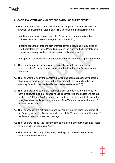#### **4. CARE, MAINTENANCE AND REDECORATION OF THE PROPERTY**

- 4.1 The Tenant must take reasonable care of the Property, any items listed in the inventory and Common Parts (if any). This to include (but is not limited to):
	- (a) taking reasonable steps to keep the Property adequately ventilated and heated so as to prevent damage from condensation;
	- (b) taking reasonable steps to prevent frost damage occurring to any pipes or other installations in the Property, provided the pipes and other installations were adequately insulated at the start of the Tenancy; and
	- (c) disposing of all rubbish in an appropriate manner and at the appropriate time.
- 4.2 The Tenant must not make any addition or alteration to the Property or redecorate the Property (or any part of it) without the Landlord's express written permission.
- 4.3 The Tenant must notify the Landlord in writing as soon as reasonably possible about any repairs that are need to the Property or to any items listed in the inventory for which the Landlord is responsible (see clause C 3)
- 4.4 The Tenant will be liable to the reasonable cost of repairs where the need for them is attributable to the Tenant's failure to comply with the obligations set out on clauses B 4.1 and B 4.2 or where the need for repair is attributable to the fault or negligence of the Tenant, any Member of the Tenant's Household or any of the Tenant's visitors.
- 4.5 The Tenant shall promptly replace and pay for any broken glass in windows at the Property where the Tenant, any Member of the Tenant's Household or any of the Tenant's visitors cause the breakage.
- 4.6 The Tenant will check the Property smoke alarms on a monthly basis and report any defects to the Managing Agent.
- 4.7 The Tenant will flush any infrequently used taps and shower heads in the Property on a monthly basis.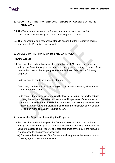#### **5. SECURITY OF THE PROPERTY AND PERIODS OF ABSENCE OF MORE THAN 28 DAYS**

- 5.1 The Tenant must not leave the Property unoccupied for more than 28 consecutive days without giving notice in writing to the Landlord.
- 5.2 The Tenant must take reasonable steps to ensure that the Property is secure whenever the Property is unoccupied.

#### **6. ACCESS TO THE PROPERTY BY LANDLORD AGENT**

#### **Routine Access**

- 6.1 Provided the Landlord has given the Tenant at least 24 hours' prior notice in writing, the Tenant must give the Landlord ( or any person acting on behalf of the Landlord) access to the Property at reasonable times of day for the following purposes:
	- (a) to inspect its condition and state of repair;
	- (b) to carry out the Landlord's repairing obligations and other obligations under this agreement; and
	- (c) to carry out any inspections required by law including (but not limited to) gas safety inspections, fire safety inspections and inspections of any smoke or carbon monoxide alarms installed at the Property and to carry out any works, repairs, maintenance or installations (including the installation of any smoke or carbon monoxide alarm) required by law.

#### **Access for the Purposes of re-letting the Property**

- 6.2 Provided the Landlord has given the Tenant at least 24 hours' prior notice in writing, the Tenant must give the Landlord (or any person acting on behalf of the Landlord) access to the Property at reasonable times of the day in the following circumstance for the purposes specified:
	- (a) During the last 3 months of the Tenancy to show prospective tenants, and or letting agents around the Property.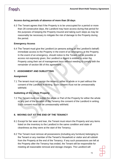#### **Access during periods of absence of more than 28 days**

6.3 The Tenant agrees that if the Property is to be unoccupied for a period or more than 28 consecutive days, the Landlord may have access during that period for the purposes of keeping the Property insured and taking such steps as may be reasonably be necessary to mitigate the risk of damage to the Property during the period.

#### **Emergency Access**

6.4 The Tenant must give the Landlord (or persons acting on the Landlord's behalf) immediate access to the Property in the event of an emergency at the Property. In the event of an emergency, should notice to the Tenant not be possible or access not expressly given, the Landlord or Agent is entitled to enter the Property using their set of management keys without needing to comply with the remainder of section B6 of this agreement.

#### **7. ASSIGNMENT AND SUBLETTING**

#### **Assignment**

7.1 The tenant must not assign the tenancy, either in whole or in part without the consent of the Landlord in Writing. Such consent must not be unreasonably withheld.

#### **Subletting of the whole Property**

7.2 The Tenant must not sublet the whole or Part of the Property for either the whole or any part of the duration of the Tenancy the consent of the Landlord in writing. Such consent must not be unreasonably withheld.

#### **8. MOVING OUT AT THE END OF THE TENANCY**

- 8.1 Except for fair wear and tear, the Tenant must return the Property and any items listed on the inventory to the Landlord in the same condition and state of cleanliness as they were at the start of the Tenancy.
- 8.2 The Tenant must remove all possessions (including any furniture) belonging to the Tenant or any member of the Tenant's Household or visitor and all rubbish from the Property at the end of the Tenancy. If any such possessions are left at the Property after the Tenancy has ended, the Tenant will be responsible for meeting all reasonable removal and storage charges. The Landlord will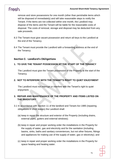remove and store possessions for one month (other than perishable items which will be disposed of immediately) and will take reasonable steps to notify the Tenant. If the items are not collected within one month, the Landlord may dispose of the items and the Tenant will be liable for the reasonable costs of disposal. The costs of removal, storage and disposal may be deducted from any sale proceeds.

- 8.3 The Tenant must give vacant possession and return all keys to the Landlord at the end of the Tenancy.
- 8.4 The Tenant must provide the Landlord with a forwarding address at the end of the Tenancy.

#### **Section C. Landlord's Obligations**

#### **1. TO GIVE THE TENANT POSSESSION AT THE START OF THE TENANCY**

The Landlord must give the Tenant possession of the Property at the start of the Tenancy.

#### **2. NOT TO INTERFERE WITH THE TENANT'S RIGHT TO QUIET ENJOYMENT**

The Landlord must not interrupt or interfere with the Tenant's right to quiet enjoyment.

#### **3. REPAIR AND MAINTENANCE OF THE PROPERTY AND ITEMS LISTED ON THE INVENTORY**

- 3.1 In accordance with Section 11 of the landlord and Tenant Act 1985 (repairing obligations in short leases) the Landlord shall:
	- (a) keep in repair the structure and exterior of the Property (including drains, external pipes, gutters and external windows);
	- (b) keep in repair and proper working order the installations in the Property for the supply of water, gas and electricity and for the sanitation (including basins, sinks, baths and sanitary conveniences, but not other fixtures, fittings and appliances for making use of the supply of water, gas or electricity); and
	- (c) keep in repair and proper working order the installations in the Property for space heating and heating water.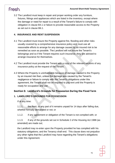3.2 The Landlord must keep in repair and proper working order any furniture, fixtures, fittings and appliances which are listed in the inventory, except where the damage or need for repair is a result of the Tenant's failure to comply with obligation in clause B4.1 or failure to provide reasonable access to the Property as set out in clause B6.1.

#### **4. INSURANCE AND RENT SUSPENSION**

- 4.1 The Landlord must insure the Property against fire, flooding and other risks usually covered by a comprehensive insurance policy and must use all reasonable efforts to arrange for any damage caused by an insured risk to be remedied as soon as possible. The Landlord will not insure the Tenant's belongings and so if the Tenant requires such insurance, they are advised to arrange insurance for themselves.
- 4.2 The Landlord must provide the Tenant with a copy of the relevant sections of any insurance policy at the request of the Tenant.
- 4.3 Where the Property is uninhabitable because of damage caused to the Property by an insured risk then, unless the damage was caused by the Tenant's negligence or failure to comply with the Tenant's obligations under this agreement, the Tenant shall not be required to pay rent until the Property is ready for occupation and use.

#### Section D. Landlord's Grounds for Possession During the Fixed Term

#### **1. LANDLORD'S GROUNDS FOR POSSESSION**

If at any time:

1.1.1. the Rent, or any part of it remains unpaid for 14 days after falling due, whether formally demanded or not; or

1.1.2. if any agreement or obligation of the Tenant is not complied with; or

1.1.3. if any of the grounds set out in Schedule 2 of the Housing Act 1988 (as amended) are made out;

the Landlord may re-enter upon the Property provided he has complied with his statutory obligations; and the Tenancy shall end. This clause does not prejudice any other rights that the Landlord may have regarding the Tenant's obligations under this Agreement.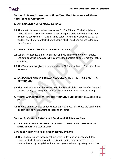#### Section E. Break Clauses for a Three Year Fixed Term Assured Short-**Hold Tenancy Agreement**

#### **1. APPLICABILITY OF CLAUSES E2 TO E5**

1.1 The break clauses contained on clauses E2, E3, E4, and E5 shall only have effect where the fixed term which, has been agreed between the Landlord and Tenant as specified on A4.1 is for three years. Accordingly, clauses E2, E3, E4, and E5 shall be of no effect where the term which, has been agreed is for less than 3 years.

#### **2. TENANT'S ROLLING 3 MONTH BREAK CLAUSE**

- 2.1Subject to cause E2.2, the Tenant may end this Tenancy before the Tenancy end date specified in Clause A4.1 by giving the Landlord at least 3 months' notice in writing.
- 2.2 The Tenant cannot give notice under clause E2.1 within the first 3 months of the Tenancy.

#### **3. LANDLORD'S ONE-OFF BREAK CLAUSES AFTER THE FIRST 6 MONTHS OF TENANCY**

3.1 The Landlord may end this Tenancy on the date which is 7 months after the start of the Tenancy by giving the Tenant at least 2 months prior notice in writing.

#### **4. TERMS APPLICABLE WHERE THE TENANCY ENDS UNDER CLAUSES E2 & E3**

4.1 The end of the Tenancy under clauses E2 & E3 does not release the Landlord or Tenant from any outstanding obligations or claims.

#### Section F. Contact Details and Service of Written Notices

#### **5. THE LANDLORD'S OR AGENT'S CONTACT DETAILS AND SERVICE OF NOTICES ON THE LANDLORD**

#### **Service of written notices by post or delivery by hand**

5.1 The Landlord agrees that any notices given under or in connection with this agreement which are required to be given in writing may be served on the Landlord either by being left at the address given below or by being sent to that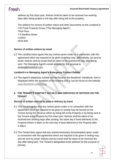address by first class post. Notices shall be taken to be received two working days after being posted or the day after being left at the property.

The address for service of written notice and other documents on the Landlord is: C/O Fresh Property Group ("The Managing Agent") Third Floor 7-9 Swallow Street London W1B 4DE

#### **Service of written notices by email**

5.2 The Landlord does agree that any notices given under or in connection with this agreement which are required to be given in writing may, alternatively, be sent by email. Notices sent by email shall be taken to be received the day after being sent. The Managing Agent's email address for this purpose is: [renting@thisisfresh.com](mailto:hello@fivenineliving.co.uk)

#### **Landlord's or Managing Agent's Emergency Contact Details**

5.3 The Agent's telephone number can be found in the Residents' Handbook, and or displayed within the reception of the building and or can be found on the website [www.thisisfresh.com/renting](http://www.thisisfresh.com/renting)

#### **6. THE TENANT'S CONTACT DETAILS AND SERVICES OF NOTICES ON THE TENANT**

#### **Service of written notices by post or delivery by hand**

- 6.1 The Tenant agrees that any notices given under or in connection with this agreement which are required to be given in writing may be served on the Tenant during the Tenancy either by being left at the Property or by being sent to the Tenant at the Property by first class post. Notices shall be taken to be received two working days after posting, the same day if hand delivered to the Property before 4.30pm or the next day if hand delivered to the Property after 4.30pm.
- 6.2 The Tenant does agree that any notices/necessary documentation given under or connection with this agreement which are required to be given in writing may also be sent by email. Notices sent by email shall be taken to be received the day after being sent. The Tenant's designated email address for this purpose is: (Email).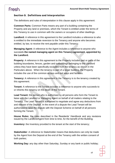#### **Section G. Definitions and interpretation**

The definitions and rules of interpretation in this clause apply in this agreement:

**Common Parts:** Common Parts means any part of a building containing the Property and any land or premises, which the Tenant is entitled under the terms of this Tenancy to use in common with the owners or occupiers of other dwellings.

**Landlord:** A reference in this agreement to the Landlord includes a reference to who is entitled to the immediate reversion to the Tenancy and anyone who becomes entitled, by law, to receive the rent payable under this Tenancy.

**Managing Agent:** A reference to the Agent includes a reference to anyone who succeeds **the named managing agent on this Tenancy agreement, appointed by the Landlord.** 

**Property:** A reference in this agreement to the Property includes part or parts of the building boundaries, fences, garden and outbuildings belonging to the Landlord unless they have been specifically excluded from the tenancy as shown in the Particulars above. When the tenancy is part of a larger building, the Property includes the use of the common access and exit ways and facilities.

**Tenancy:** A reference in this agreement to the Tenancy is to the tenancy created by this agreement.

**Tenant:** A reference to the Tenant includes a reference to anyone who succeeds to or inherits this tenancy on the death of the Tenant.

**Lead Tenant:** the person who is authorised by all persons who form the Tenant to liaise with the Landlord or Managing Agent on behalf of all matters relating to the Tenancy. The Lead Tenant is authorised to negotiate and agree any deductions from and release of the Deposit. In the event of a dispute the Lead Tenant will be authorised to raise the dispute with the Deposit Scheme on behalf of all persons forming the Tenant.

**House Rules:** the rules described in the Residents' Handbook and any revisions issued by the Landlord/Agent from time to time, for the benefit of the Building;

**Inventory:** the Inventory provided to the tenant at the start of the tenancy;

**Stakeholder**: A reference to Stakeholder means that deductions can only be made by the Agent from the Deposit at the end of the Tenancy with the written consent of both parties;

**Working Day:** any day other than Saturday, Sunday or any bank or public holiday;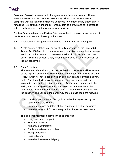**Joint and Several:** A reference in this agreement to Joint and Several will mean when the Tenant is more than one person, they will each be responsible for complying with the Tenant's obligations under this Agreement or any extension of it for a fixed term extension or periodic Tenancy both as a group and each person is liable for all obligations and payments as an individual;

**Review Date:** A reference to Review Date means the first anniversary of the start of the Tenancy and each anniversary of that date.

- 1.1 A reference to one gender shall include a reference to the other gender.
- 1.2 A reference to a statute (e.g. an Act of Parliament such as the Landlord & Tenant Act 1985) or statutory provision (e.g. a section of an Act – for example section 11 of the 1985 Act) is a reference to it as it is in force for the timebeing, taking into account of any amendment, extension or re-enactment of the law concerned.

#### 1.3 Data Protection

The personal information of both the Landlord and the Tenant will be retained by the Agent in accordance with the terms of the Agent's privacy policy ("the Policy") which will have been served on both parties; and is available to view on the Agent's website [www.thisisfresh.com/renting.](http://www.thisisfresh.com/renting) In addition to the information provided to the Agent about the Tenant in accordance with the Policy, the Tenant agrees that this information can be forwarded to the Landlord. Such information may have been provided before, during or after the Tenancy. The Landlord thereafter may share details about the following:

- Details of performance of obligations under this Agreement by the Landlord and the Tenant;
- Known addresses or details of the Tenant and any other occupiers,
- Any other relevant information required by the parties listed below.

This personal information above can be shared with:

- Utility and water companies;
- The local authority;
- Authorised contractors;
- Credit and reference providers;
- Mortgage lenders;
- Legal advisers;
- Any other interested third party.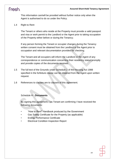This information can/will be provided without further notice only when the Agent is authorised to do so under the Policy.

1.4 Right to Rent

The Tenant or others who reside at the Property must provide a valid passport and visa or work permit to the Landlord or the Agent prior to taking occupation of the Property either before or during the Tenancy;

If any person forming the Tenant or occupier changes during the Tenancy written consent must be obtained from the Landlord or the Agent prior to occupation and relevant documentation provided for checking;

The Tenant and all occupiers will inform the Landlord or the Agent of any correspondence or communication concerning their residency status promptly and provide copies of the documents received.

- 1.5 The full text of the Grounds under Schedule 2 of the Housing Act 1988 specified in the forfeiture clause can be obtained from the Agent upon written request.
- 1.6 References to clauses are to clauses of this agreement.

#### Schedule H - **Documents**

By signing this agreement, I as Tenant am confirming I have received the following documents:

- "How to Rent" Handbook produced by the Government
- Gas Safety Certificate for the Property (as applicable)
- **Energy Performance Certificate**
- Electrical Condition Inspection Report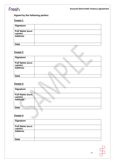**Assured Short-Hold Tenancy Agreement**

#### **Signed by the following parties:**

#### **Tenant 1**

| <b>Signature</b>                     |  |
|--------------------------------------|--|
| <b>Full Name (block</b><br>capitals) |  |
| <b>Address</b>                       |  |
| <b>Date</b>                          |  |
| <b>Tenant 2</b>                      |  |

#### **Tenant 2**

| <b>Signature</b>                     |  |
|--------------------------------------|--|
| <b>Full Name (block</b><br>capitals) |  |
| <b>Address</b>                       |  |
| <b>Date</b>                          |  |

#### **Tenant 3**

| <b>Signature</b>                      |  |
|---------------------------------------|--|
| <b>Full Name (block)</b><br>capitals) |  |
| <b>Address</b>                        |  |
| <b>Date</b>                           |  |
|                                       |  |

#### **Tenant 4**

| <b>Signature</b>                     |  |
|--------------------------------------|--|
| <b>Full Name (block</b><br>capitals) |  |
| <b>Address</b>                       |  |
|                                      |  |
| <b>Date</b>                          |  |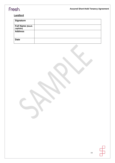### **Landlord**

| <b>Signature</b>                     |  |
|--------------------------------------|--|
| <b>Full Name (block</b><br>capitals) |  |
| <b>Address</b>                       |  |
| <b>Date</b>                          |  |